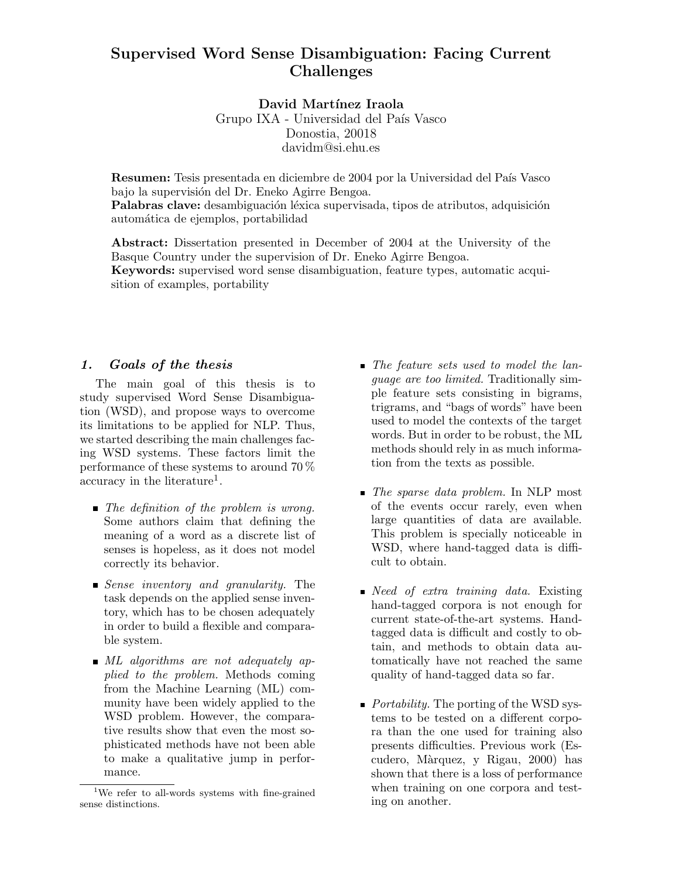# Supervised Word Sense Disambiguation: Facing Current Challenges

David Martínez Iraola

Grupo IXA - Universidad del País Vasco Donostia, 20018 davidm@si.ehu.es

Resumen: Tesis presentada en diciembre de 2004 por la Universidad del País Vasco bajo la supervisión del Dr. Eneko Agirre Bengoa. Palabras clave: desambiguación léxica supervisada, tipos de atributos, adquisición

automática de ejemplos, portabilidad

Abstract: Dissertation presented in December of 2004 at the University of the Basque Country under the supervision of Dr. Eneko Agirre Bengoa. Keywords: supervised word sense disambiguation, feature types, automatic acquisition of examples, portability

#### 1. Goals of the thesis

The main goal of this thesis is to study supervised Word Sense Disambiguation (WSD), and propose ways to overcome its limitations to be applied for NLP. Thus, we started describing the main challenges facing WSD systems. These factors limit the performance of these systems to around 70 %  $\alpha$  accuracy in the literature<sup>1</sup>.

- The definition of the problem is wrong. Some authors claim that defining the meaning of a word as a discrete list of senses is hopeless, as it does not model correctly its behavior.
- Sense inventory and granularity. The task depends on the applied sense inventory, which has to be chosen adequately in order to build a flexible and comparable system.
- $\blacksquare$  ML algorithms are not adequately applied to the problem. Methods coming from the Machine Learning (ML) community have been widely applied to the WSD problem. However, the comparative results show that even the most sophisticated methods have not been able to make a qualitative jump in performance.
- The feature sets used to model the language are too limited. Traditionally simple feature sets consisting in bigrams, trigrams, and "bags of words" have been used to model the contexts of the target words. But in order to be robust, the ML methods should rely in as much information from the texts as possible.
- The sparse data problem. In NLP most of the events occur rarely, even when large quantities of data are available. This problem is specially noticeable in WSD, where hand-tagged data is difficult to obtain.
- $\blacksquare$  Need of extra training data. Existing hand-tagged corpora is not enough for current state-of-the-art systems. Handtagged data is difficult and costly to obtain, and methods to obtain data automatically have not reached the same quality of hand-tagged data so far.
- $\blacksquare$  *Portability.* The porting of the WSD systems to be tested on a different corpora than the one used for training also presents difficulties. Previous work (Escudero, M`arquez, y Rigau, 2000) has shown that there is a loss of performance when training on one corpora and testing on another.

<sup>&</sup>lt;sup>1</sup>We refer to all-words systems with fine-grained sense distinctions.